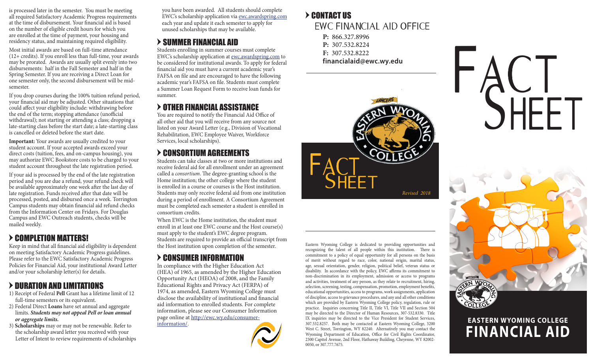at the time of disbursement. Your financial aid is based on the number of eligible credit hours for which you are enrolled at the time of payment, your housing and residency status, and maintaining required eligibility.

Most initial awards are based on full-time attendance (12+ credits). If you enroll less than full-time, your awards may be prorated. Awards are usually split evenly into two disbursements: half in the Fall Semester and half in the Spring Semester. If you are receiving a Direct Loan for one semester only, the second disbursement will be midsemester.

If you drop courses during the 100% tuition refund period, your financial aid may be adjusted. Other situations that could affect your eligibility include: withdrawing before the end of the term; stopping attendance (unofficial withdrawal); not starting or attending a class; dropping a late-starting class before the start date; a late-starting class is cancelled or deleted before the start date.

**Important:** Your awards are usually credited to your student account. If your accepted awards exceed your direct costs (tuition, fees, and on-campus housing), you may authorize EWC Bookstore costs to be charged to your student account throughout the late registration period.

If your aid is processed by the end of the late registration period and you are due a refund, your refund check will be available approximately one week after the last day of late registration. Funds received after that date will be processed, posted, and disbursed once a week. Torrington Campus students may obtain financial aid refund checks from the Information Center on Fridays. For Douglas Campus and EWC Outreach students, checks will be mailed weekly.

## > COMPLETION MATTERS!

Keep in mind that all financial aid eligibility is dependent on meeting Satisfactory Academic Progress guidelines. Please refer to the EWC Satisfactory Academic Progress Policies for Financial Aid, your institutional Award Letter and/or your scholarship letter(s) for details.

# > DURATION AND LIMITATIONS

- 1) Receipt of Federal **Pell** Grant has a lifetime limit of 12 full-time semesters or its equivalent.
- 2) Federal Direct **Loans** have set annual and aggregate limits. *Students may not appeal Pell or loan annual or aggregate limits.*

3) **Scholarships** may or may not be renewable. Refer to the scholarship award letter you received with your Letter of Intent to review requirements of scholarships

you have been awarded. All students should complete EWC's scholarship application via ewc.awardspring.com each year and update it each semester to apply for unused scholarships that may be available. is processed later in the semester. You must be meeting you have been awarded. All students should complete<br>all required Satisfactory Academic Progress requirements EWC's scholarship application via <u>ewc.awardspring.com</u> >

# $>$  SUMMER FINANCIAL AID

Students enrolling in summer courses must complete EWC's scholarship application at ewc.awardspring.com to be considered for institutional awards. To apply for federal financial aid you must have a current academic year's FAFSA on file and are encouraged to have the following academic year's FAFSA on file. Students must complete a Summer Loan Request Form to receive loan funds for summer.

# > OTHER FINANCIAL ASSISTANCE

You are required to notify the Financial Aid Office of all other aid that you will receive from any source not listed on your Award Letter (e.g., Division of Vocational Rehabilitation, EWC Employee Waiver, Workforce Services, local scholarships).

# = CONSORTIUM AGREEMENTS

Students can take classes at two or more institutions and receive federal aid for all enrollment under an agreement called a *consortium*. The degree-granting school is the Home institution; the other college where the student is enrolled in a course or courses is the Host institution. Students may only receive federal aid from one institution during a period of enrollment. A Consortium Agreement must be completed each semester a student is enrolled in consortium credits.

When EWC is the Home institution, the student must enroll in at least one EWC course and the Host course(s) must apply to the student's EWC degree program. Students are required to provide an official transcript from the Host institution upon completion of the semester.

# = CONSUMER INFORMATION

In compliance with the Higher Education Act (HEA) of 1965, as amended by the Higher Education Opportunity Act (HEOA) of 2008, and the Family Educational Rights and Privacy Act (FERPA) of 1974, as amended, Eastern Wyoming College must disclose the availability of institutional and financial aid information to enrolled students. For complete information, please see our Consumer Information page online at http://ewc.wy.edu/consumerinformation/.



# EWC FINANCIAL AID OFFICE

- **P:** 866.327.8996
- **P:** 307.532.8224
- **F:** 307.532.8222
- **financialaid@ewc.wy.edu**



Eastern Wyoming College is dedicated to providing opportunities and recognizing the talent of all people within this institution. There is commitment to a policy of equal opportunity for all persons on the basis of merit without regard to race, color, national origin, marital status, age, sexual orientation, gender, religion, political belief, veteran status or disability. In accordance with the policy, EWC affirms its commitment to non-discrimination in its employment, admission or access to programs and activities, treatment of any person, as they relate to recruitment, hiring, selection, screening, testing, compensation, promotion, employment benefits, educational opportunities, access to programs, work assignments, application of discipline, access to grievance procedures, and any and all other conditions which are provided by Eastern Wyoming College policy, regulation, rule or practice. Inquiries concerning Title II, Title VI, Title VII and Section 504 may be directed to the Director of Human Resources, 307-532.8330. Title IX inquiries may be directed to the Vice President for Student Services, 307.532.8257. Both may be contacted at Eastern Wyoming College, 3200 West C. Street, Torrington, WY 82240. Alternatively you may contact the Wyoming Department of Education, Office for Civil Rights Coordinator, 2300 Capitol Avenue, 2nd Floor, Hathaway Building, Cheyenne, WY 82002- 0050, or 307.777.7675.





# **FINANCIAL AID EASTERN WYOMING COLLEGE**